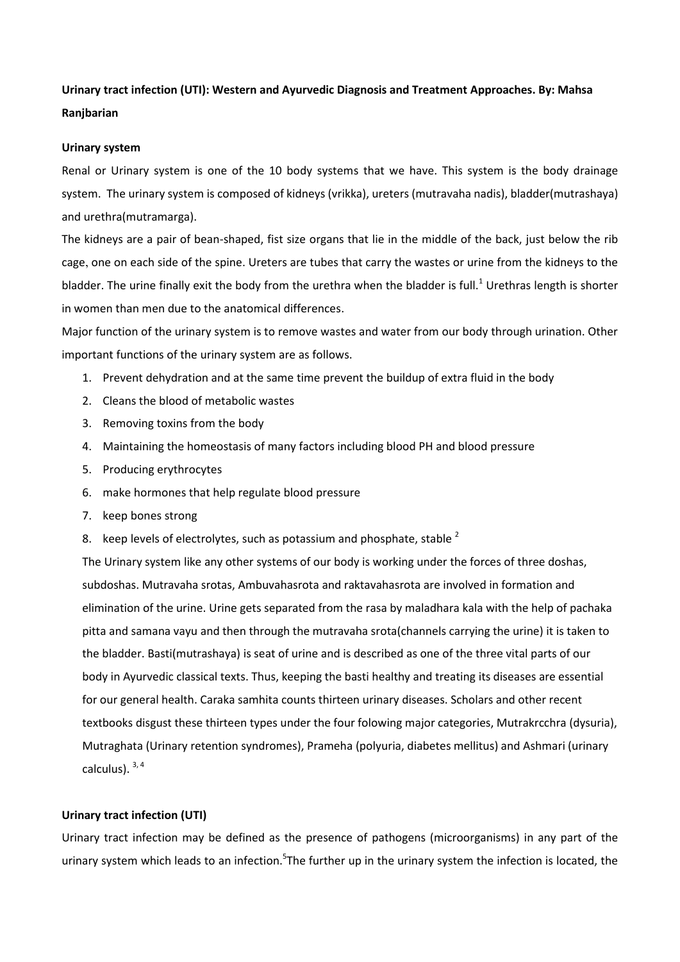# **Urinary tract infection (UTI): Western and Ayurvedic Diagnosis and Treatment Approaches. By: Mahsa Ranjbarian**

#### **Urinary system**

Renal or Urinary system is one of the 10 body systems that we have. This system is the body drainage system. The urinary system is composed of kidneys (vrikka), ureters (mutravaha nadis), bladder(mutrashaya) and urethra(mutramarga).

The kidneys are a pair of bean-shaped, fist size organs that lie in the middle of the back, just below the rib cage, one on each side of the spine. Ureters are tubes that carry the wastes or urine from the kidneys to the bladder. The urine finally exit the body from the urethra when the bladder is full.<sup>1</sup> Urethras length is shorter in women than men due to the anatomical differences.

Major function of the urinary system is to remove wastes and water from our body through urination. Other important functions of the urinary system are as follows.

- 1. Prevent dehydration and at the same time prevent the buildup of extra fluid in the body
- 2. Cleans the blood of metabolic wastes
- 3. Removing toxins from the body
- 4. Maintaining the homeostasis of many factors including blood PH and blood pressure
- 5. Producing erythrocytes
- 6. make hormones that help regulate blood pressure
- 7. keep bones strong
- 8. keep levels of electrolytes, such as potassium and phosphate, stable  $2$

The Urinary system like any other systems of our body is working under the forces of three doshas, subdoshas. Mutravaha srotas, Ambuvahasrota and raktavahasrota are involved in formation and elimination of the urine. Urine gets separated from the rasa by maladhara kala with the help of pachaka pitta and samana vayu and then through the mutravaha srota(channels carrying the urine) it is taken to the bladder. Basti(mutrashaya) is seat of urine and is described as one of the three vital parts of our body in Ayurvedic classical texts. Thus, keeping the basti healthy and treating its diseases are essential for our general health. Caraka samhita counts thirteen urinary diseases. Scholars and other recent textbooks disgust these thirteen types under the four folowing major categories, Mutrakrcchra (dysuria), Mutraghata (Urinary retention syndromes), Prameha (polyuria, diabetes mellitus) and Ashmari (urinary calculus).  $3, 4$ 

### **Urinary tract infection (UTI)**

[Urinary](http://www.britannica.com/science/inflammation) tract infection may be defined as the presence of pathogens (microorganisms) in any part of the urinary system which leads to an infection.<sup>5</sup>The further up in the urinary system the infection is located, the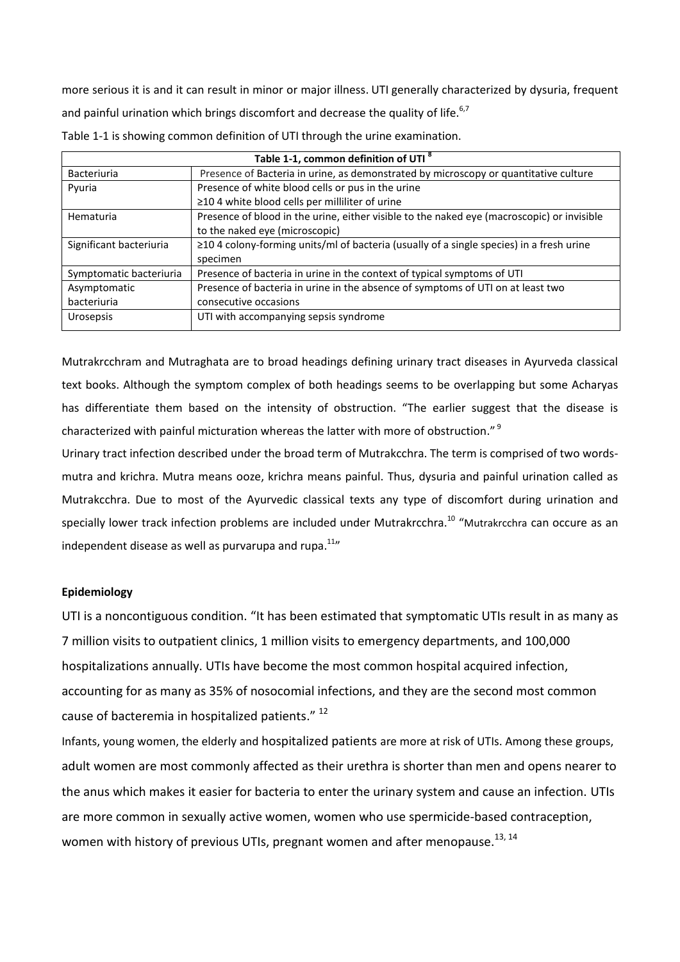more serious it is and it can result in minor or major illness. UTI generally characterized by dysuria, frequent and painful [urination](http://www.britannica.com/science/urination) which brings discomfort and decrease the quality of life. $6,7$ 

| Table 1-1, common definition of UTI <sup>8</sup> |                                                                                            |  |
|--------------------------------------------------|--------------------------------------------------------------------------------------------|--|
| Bacteriuria                                      | Presence of Bacteria in urine, as demonstrated by microscopy or quantitative culture       |  |
| Pyuria                                           | Presence of white blood cells or pus in the urine                                          |  |
|                                                  | ≥10 4 white blood cells per milliliter of urine                                            |  |
| Hematuria                                        | Presence of blood in the urine, either visible to the naked eye (macroscopic) or invisible |  |
|                                                  | to the naked eye (microscopic)                                                             |  |
| Significant bacteriuria                          | ≥10 4 colony-forming units/ml of bacteria (usually of a single species) in a fresh urine   |  |
|                                                  | specimen                                                                                   |  |
| Symptomatic bacteriuria                          | Presence of bacteria in urine in the context of typical symptoms of UTI                    |  |
| Asymptomatic                                     | Presence of bacteria in urine in the absence of symptoms of UTI on at least two            |  |
| bacteriuria                                      | consecutive occasions                                                                      |  |
| <b>Urosepsis</b>                                 | UTI with accompanying sepsis syndrome                                                      |  |

| Table 1-1 is showing common definition of UTI through the urine examination. |  |  |
|------------------------------------------------------------------------------|--|--|
|                                                                              |  |  |

Mutrakrcchram and Mutraghata are to broad headings defining urinary tract diseases in Ayurveda classical text books. Although the symptom complex of both headings seems to be overlapping but some Acharyas has differentiate them based on the intensity of obstruction. "The earlier suggest that the disease is characterized with painful micturation whereas the latter with more of obstruction."<sup>9</sup>

Urinary tract infection described under the broad term of Mutrakcchra. The term is comprised of two wordsmutra and krichra. Mutra means ooze, krichra means painful. Thus, dysuria and painful urination called as Mutrakcchra. Due to most of the Ayurvedic classical texts any type of discomfort during urination and specially lower track infection problems are included under Mutrakrcchra.<sup>10</sup> "Mutrakrcchra can occure as an independent disease as well as purvarupa and rupa. $^{11}$ "

# **Epidemiology**

UTI is a noncontiguous condition. "It has been estimated that symptomatic UTIs result in as many as 7 million visits to outpatient clinics, 1 million visits to emergency departments, and 100,000 hospitalizations annually. UTIs have become the most common hospital acquired infection, accounting for as many as 35% of nosocomial infections, and they are the second most common cause of bacteremia in hospitalized patients."<sup>12</sup>

Infants, young women, the elderly and hospitalized patients are more at risk of UTIs. Among these groups, adult women are most commonly affected as their urethra is shorter than men and opens nearer to the anus which makes it easier for bacteria to enter the urinary system and cause an infection. UTIs are more common in sexually active women, women who use spermicide-based contraception, women with history of previous UTIs, pregnant women and after menopause.<sup>13, 14</sup>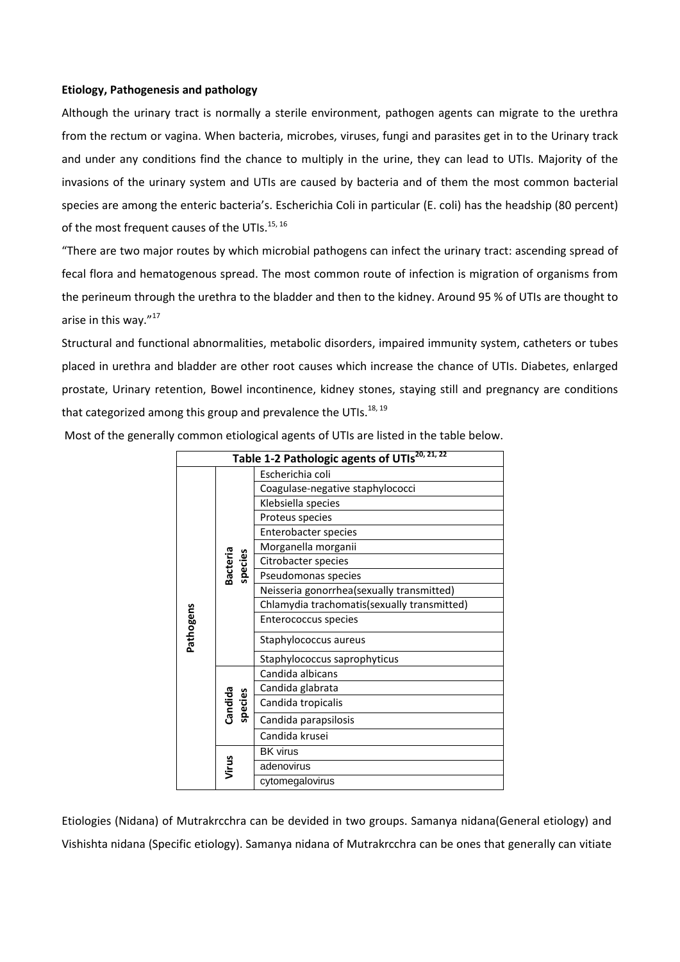#### **Etiology, Pathogenesis and pathology**

Although the urinary tract is normally a sterile environment, pathogen agents can migrate to the urethra from the rectum or vagina. When bacteria, microbes, viruses, fungi and parasites get in to the Urinary track and under any conditions find the chance to multiply in the urine, they can lead to UTIs. Majority of the invasions of the urinary system and UTIs are caused by bacteria and of them the most common bacterial species are among the enteric bacteria's. Escherichia Coli in particular (E. coli) has the headship (80 percent) of the most frequent causes of the UTIs.<sup>15, 16</sup>

"There are two major routes by which microbial pathogens can infect the urinary tract: ascending spread of fecal flora and hematogenous spread. The most common route of infection is migration of organisms from the perineum through the urethra to the bladder and then to the kidney. Around 95 % of UTIs are thought to arise in this way."<sup>17</sup>

Structural and functional abnormalities, metabolic disorders, impaired immunity system, catheters or tubes placed in urethra and bladder are other root causes which increase the chance of UTIs. Diabetes, enlarged prostate, Urinary retention, Bowel incontinence, kidney stones, staying still and pregnancy are conditions that categorized among this group and prevalence the UTIs.<sup>18, 19</sup>

Most of the generally common etiological agents of UTIs are listed in the table below.

|           | Table 1-2 Pathologic agents of UTIs <sup>20, 21, 22</sup> |                                             |  |
|-----------|-----------------------------------------------------------|---------------------------------------------|--|
|           |                                                           | Escherichia coli                            |  |
|           |                                                           | Coagulase-negative staphylococci            |  |
|           |                                                           | Klebsiella species                          |  |
|           |                                                           | Proteus species                             |  |
|           |                                                           | Enterobacter species                        |  |
|           |                                                           | Morganella morganii                         |  |
|           |                                                           | Citrobacter species                         |  |
|           | <b>Bacteria</b><br>species                                | Pseudomonas species                         |  |
|           |                                                           | Neisseria gonorrhea(sexually transmitted)   |  |
| Pathogens |                                                           | Chlamydia trachomatis(sexually transmitted) |  |
|           |                                                           | Enterococcus species                        |  |
|           |                                                           | Staphylococcus aureus                       |  |
|           |                                                           | Staphylococcus saprophyticus                |  |
|           |                                                           | Candida albicans                            |  |
|           |                                                           | Candida glabrata                            |  |
|           | Candida<br>species                                        | Candida tropicalis                          |  |
|           |                                                           | Candida parapsilosis                        |  |
|           |                                                           | Candida krusei                              |  |
|           |                                                           | <b>BK</b> virus                             |  |
|           | Virus                                                     | adenovirus                                  |  |
|           |                                                           | cytomegalovirus                             |  |

Etiologies (Nidana) of Mutrakrcchra can be devided in two groups. Samanya nidana(General etiology) and Vishishta nidana (Specific etiology). Samanya nidana of Mutrakrcchra can be ones that generally can vitiate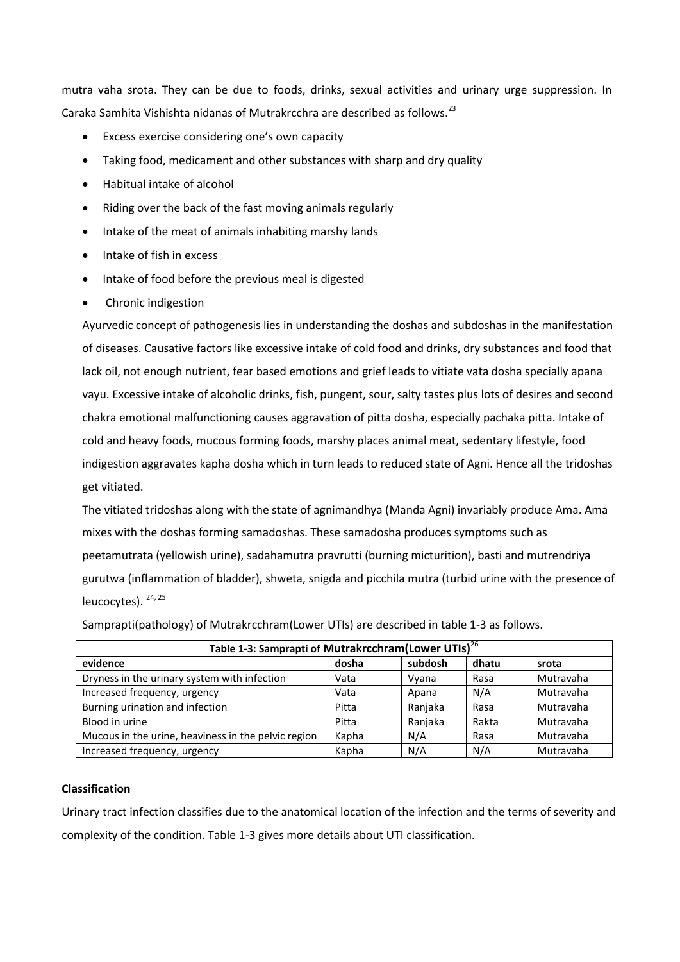mutra vaha srota. They can be due to foods, drinks, sexual activities and urinary urge suppression. In Caraka Samhita Vishishta nidanas of Mutrakrcchra are described as follows.<sup>23</sup>

- Excess exercise considering one's own capacity
- Taking food, medicament and other substances with sharp and dry quality
- Habitual intake of alcohol
- Riding over the back of the fast moving animals regularly
- Intake of the meat of animals inhabiting marshy lands
- Intake of fish in excess
- Intake of food before the previous meal is digested
- Chronic indigestion

Ayurvedic concept of pathogenesis lies in understanding the doshas and subdoshas in the manifestation of diseases. Causative factors like excessive intake of cold food and drinks, dry substances and food that lack oil, not enough nutrient, fear based emotions and grief leads to vitiate vata dosha specially apana vayu. Excessive intake of alcoholic drinks, fish, pungent, sour, salty tastes plus lots of desires and second chakra emotional malfunctioning causes aggravation of pitta dosha, especially pachaka pitta. Intake of cold and heavy foods, mucous forming foods, marshy places animal meat, sedentary lifestyle, food indigestion aggravates kapha dosha which in turn leads to reduced state of Agni. Hence all the tridoshas get vitiated.

The vitiated tridoshas along with the state of agnimandhya (Manda Agni) invariably produce Ama. Ama mixes with the doshas forming samadoshas. These samadosha produces symptoms such as peetamutrata (yellowish urine), sadahamutra pravrutti (burning micturition), basti and mutrendriya gurutwa (inflammation of bladder), shweta, snigda and picchila mutra (turbid urine with the presence of leucocytes).  $24, 25$ 

| Table 1-3: Samprapti of Mutrakrcchram(Lower UTIs) <sup>26</sup> |       |         |       |           |
|-----------------------------------------------------------------|-------|---------|-------|-----------|
| evidence                                                        | dosha | subdosh | dhatu | srota     |
| Dryness in the urinary system with infection                    | Vata  | Vyana   | Rasa  | Mutravaha |
| Increased frequency, urgency                                    | Vata  | Apana   | N/A   | Mutravaha |
| Burning urination and infection                                 | Pitta | Ranjaka | Rasa  | Mutravaha |
| Blood in urine                                                  | Pitta | Ranjaka | Rakta | Mutravaha |
| Mucous in the urine, heaviness in the pelvic region             | Kapha | N/A     | Rasa  | Mutravaha |
| Increased frequency, urgency                                    | Kapha | N/A     | N/A   | Mutravaha |

Samprapti(pathology) of Mutrakrcchram(Lower UTIs) are described in table 1-3 as follows.

#### **Classification**

Urinary tract infection classifies due to the anatomical location of the infection and the terms of severity and complexity of the condition. Table 1-3 gives more details about UTI classification.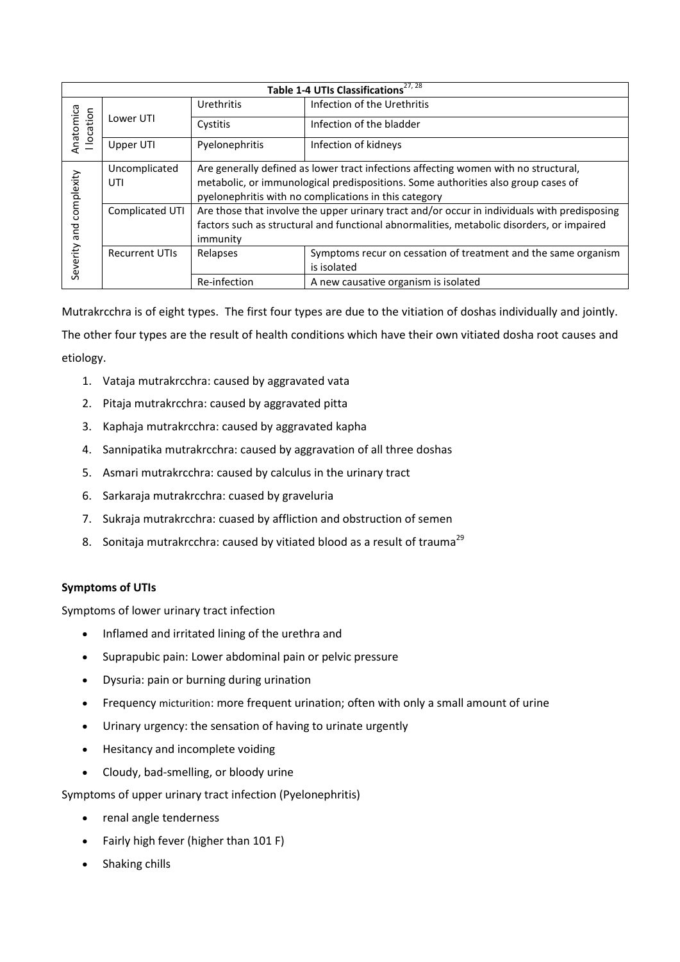|                         | Table 1-4 UTIs Classifications <sup>27, 28</sup> |                                                                                           |                                                                                              |  |  |  |
|-------------------------|--------------------------------------------------|-------------------------------------------------------------------------------------------|----------------------------------------------------------------------------------------------|--|--|--|
|                         |                                                  | Urethritis                                                                                | Infection of the Urethritis                                                                  |  |  |  |
| Anatomica<br>I location | Lower UTI                                        | Cystitis                                                                                  | Infection of the bladder                                                                     |  |  |  |
|                         | Upper UTI                                        | Pyelonephritis                                                                            | Infection of kidneys                                                                         |  |  |  |
|                         | Uncomplicated                                    | Are generally defined as lower tract infections affecting women with no structural,       |                                                                                              |  |  |  |
| complexity              | UTI                                              |                                                                                           | metabolic, or immunological predispositions. Some authorities also group cases of            |  |  |  |
|                         |                                                  |                                                                                           | pyelonephritis with no complications in this category                                        |  |  |  |
|                         | Complicated UTI                                  |                                                                                           | Are those that involve the upper urinary tract and/or occur in individuals with predisposing |  |  |  |
|                         |                                                  | factors such as structural and functional abnormalities, metabolic disorders, or impaired |                                                                                              |  |  |  |
| and                     |                                                  | immunity                                                                                  |                                                                                              |  |  |  |
| Severity                | <b>Recurrent UTIs</b>                            | Relapses                                                                                  | Symptoms recur on cessation of treatment and the same organism                               |  |  |  |
|                         |                                                  |                                                                                           | is isolated                                                                                  |  |  |  |
|                         |                                                  | Re-infection                                                                              | A new causative organism is isolated                                                         |  |  |  |

Mutrakrcchra is of eight types. The first four types are due to the vitiation of doshas individually and jointly. The other four types are the result of health conditions which have their own vitiated dosha root causes and etiology.

- 1. Vataja mutrakrcchra: caused by aggravated vata
- 2. Pitaja mutrakrcchra: caused by aggravated pitta
- 3. Kaphaja mutrakrcchra: caused by aggravated kapha
- 4. Sannipatika mutrakrcchra: caused by aggravation of all three doshas
- 5. Asmari mutrakrcchra: caused by calculus in the urinary tract
- 6. Sarkaraja mutrakrcchra: cuased by graveluria
- 7. Sukraja mutrakrcchra: cuased by affliction and obstruction of semen
- 8. Sonitaja mutrakrcchra: caused by vitiated blood as a result of trauma<sup>29</sup>

# **Symptoms of UTIs**

Symptoms of lower urinary tract infection

- Inflamed and irritated lining of the urethra and
- Suprapubic pain: Lower [abdominal pain](http://www.medicinenet.com/abdominal_pain_causes_remedies_treatment/article.htm) or pelvic pressure
- Dysuria: [pain](http://www.medicinenet.com/pain_surprising_reasons_pictures_slideshow/article.htm) or burning during urination
- Frequency micturition: more [frequent urination;](http://www.medicinenet.com/frequent_urination/symptoms.htm) often with only a small amount of urine
- [Urinary urgency:](http://www.medicinenet.com/urinary_urgency/symptoms.htm) the sensation of having to urinate urgently
- Hesitancy and incomplete voiding
- Cloudy, bad-smelling, or bloody urine

Symptoms of upper urinary tract infection (Pyelonephritis)

- renal angle tenderness
- Fairly high fever (higher than 101 F)
- Shaking chills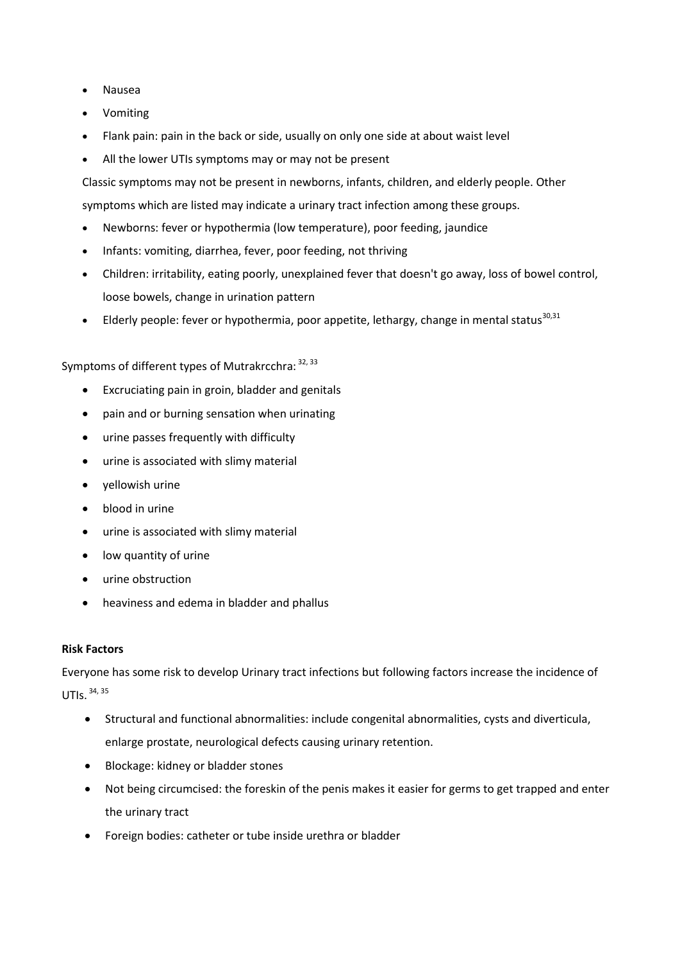- [Nausea](http://www.medicinenet.com/nausea/symptoms.htm)
- [Vomiting](http://www.medicinenet.com/vomiting/symptoms.htm)
- Flank [pain:](http://www.medicinenet.com/pain_quiz/quiz.htm) pain in the back or side, usually on only one side at about waist level
- All the lower UTIs symptoms may or may not be present

Classic symptoms may not be present in newborns, infants, children, and elderly people. Other symptoms which are listed may indicate a urinary tract infection among these groups.

- Newborns: fever or [hypothermia](http://www.medicinenet.com/hypothermia_extended_exposure_to_cold/article.htm) (low temperature), poor feeding, [jaundice](http://www.medicinenet.com/image-collection/jaundice_picture/picture.htm)
- Infants: vomiting, [diarrhea,](http://www.medicinenet.com/diarrhea/article.htm) fever, poor feeding, not thriving
- Children: irritability, eating poorly, unexplained fever that doesn't go away, loss of bowel control, loose bowels, change in urination pattern
- Elderly people: fever or hypothermia, poor appetite, lethargy, change in mental status<sup>30,31</sup>

# Symptoms of different types of Mutrakrcchra:  $32, 33$

- Excruciating pain in groin, bladder and genitals
- pain and or burning sensation when urinating
- urine passes frequently with difficulty
- urine is associated with slimy material
- yellowish urine
- blood in urine
- urine is associated with slimy material
- low quantity of urine
- urine obstruction
- heaviness and edema in bladder and phallus

# **Risk Factors**

Everyone has some risk to develop Urinary tract infections but following factors increase the incidence of  $UTIs.$   $34, 35$ 

- Structural and functional abnormalities: include congenital abnormalities, cysts and diverticula, enlarge prostate, neurological defects causing urinary retention.
- Blockage: kidney or bladder stones
- Not being circumcised: the foreskin of the penis makes it easier for germs to get trapped and enter the urinary tract
- Foreign bodies: catheter or tube inside urethra or bladder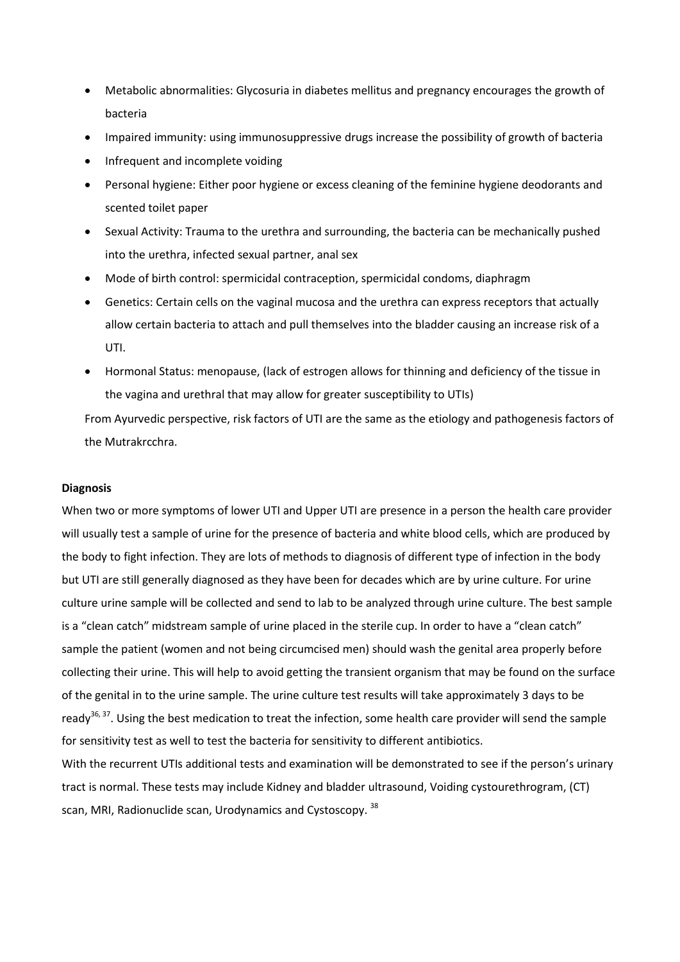- Metabolic abnormalities: Glycosuria in diabetes mellitus and pregnancy encourages the growth of bacteria
- Impaired immunity: using immunosuppressive drugs increase the possibility of growth of bacteria
- Infrequent and incomplete voiding
- Personal hygiene: Either poor hygiene or excess cleaning of the feminine hygiene deodorants and scented toilet paper
- Sexual Activity: Trauma to the urethra and surrounding, the bacteria can be mechanically pushed into the urethra, infected sexual partner, anal sex
- Mode of birth control: spermicidal contraception, spermicidal condoms, diaphragm
- Genetics: Certain cells on the vaginal mucosa and the urethra can express receptors that actually allow certain bacteria to attach and pull themselves into the bladder causing an increase risk of a UTI.
- Hormonal Status: menopause, (lack of estrogen allows for thinning and deficiency of the tissue in the vagina and urethral that may allow for greater susceptibility to UTIs)

From Ayurvedic perspective, risk factors of UTI are the same as the etiology and pathogenesis factors of the Mutrakrcchra.

#### **Diagnosis**

When two or more symptoms of lower UTI and Upper UTI are presence in a person the health care provider will usually test a sample of urine for the presence of bacteria and white blood cells, which are produced by the body to fight infection. They are lots of methods to diagnosis of different type of infection in the body but UTI are still generally diagnosed as they have been for decades which are by urine culture. For urine culture urine sample will be collected and send to lab to be analyzed through urine culture. The best sample is a "clean catch" midstream sample of urine placed in the sterile cup. In order to have a "clean catch" sample the patient (women and not being circumcised men) should wash the genital area properly before collecting their urine. This will help to avoid getting the transient organism that may be found on the surface of the genital in to the urine sample. The urine culture test results will take approximately 3 days to be ready<sup>36, 37</sup>. Using the best medication to treat the infection, some health care provider will send the sample for sensitivity test as well to test the bacteria for sensitivity to different antibiotics.

With the recurrent UTIs additional tests and examination will be demonstrated to see if the person's urinary tract is normal. These tests may include Kidney and bladder ultrasound, Voiding cystourethrogram, (CT) scan, MRI, Radionuclide scan, Urodynamics and Cystoscopy.<sup>38</sup>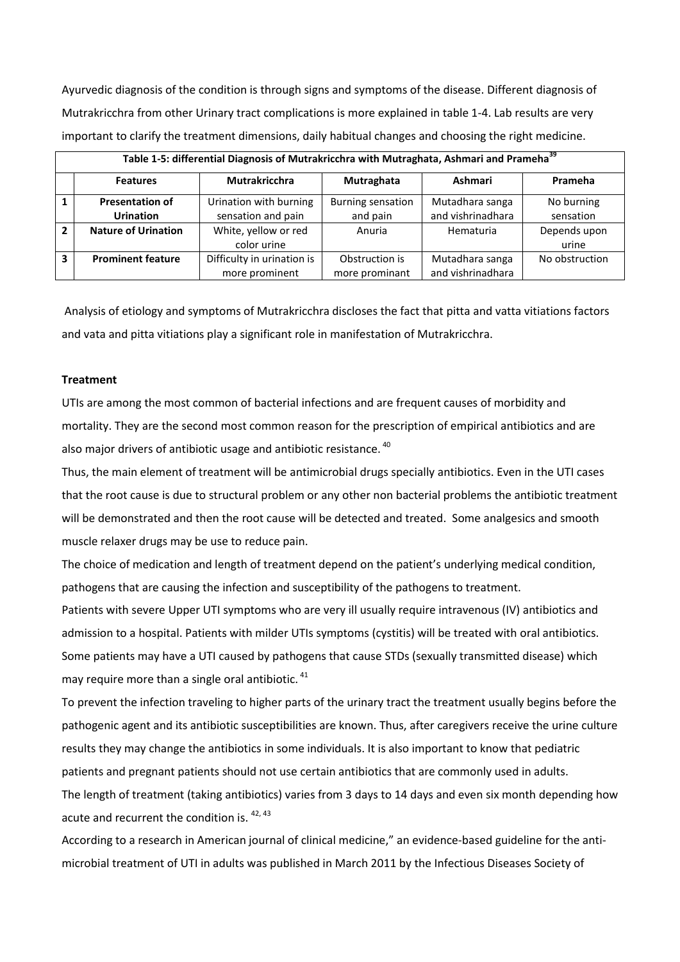Ayurvedic diagnosis of the condition is through signs and symptoms of the disease. Different diagnosis of Mutrakricchra from other Urinary tract complications is more explained in table 1-4. Lab results are very important to clarify the treatment dimensions, daily habitual changes and choosing the right medicine.

|                | Table 1-5: differential Diagnosis of Mutrakricchra with Mutraghata, Ashmari and Pramena |                            |                   |                   |                |
|----------------|-----------------------------------------------------------------------------------------|----------------------------|-------------------|-------------------|----------------|
|                | <b>Features</b>                                                                         | Mutrakricchra              | Mutraghata        | Ashmari           | Prameha        |
|                | <b>Presentation of</b>                                                                  | Urination with burning     | Burning sensation | Mutadhara sanga   | No burning     |
|                | <b>Urination</b>                                                                        | sensation and pain         | and pain          | and vishrinadhara | sensation      |
| $\overline{2}$ | <b>Nature of Urination</b>                                                              | White, yellow or red       | Anuria            | Hematuria         | Depends upon   |
|                |                                                                                         | color urine                |                   |                   | urine          |
| 3              | <b>Prominent feature</b>                                                                | Difficulty in urination is | Obstruction is    | Mutadhara sanga   | No obstruction |
|                |                                                                                         | more prominent             | more prominant    | and vishrinadhara |                |

**Table 1-5: differential Diagnosis of Mutrakricchra with Mutraghata, Ashmari and Prameha<sup>39</sup>**

Analysis of etiology and symptoms of Mutrakricchra discloses the fact that pitta and vatta vitiations factors and vata and pitta vitiations play a significant role in manifestation of Mutrakricchra.

### **Treatment**

UTIs are among the most common of bacterial infections and are frequent causes of morbidity and mortality. They are the second most common reason for the prescription of empirical antibiotics and are also major drivers of antibiotic usage and antibiotic resistance. <sup>40</sup>

Thus, the main element of treatment will be antimicrobial drugs specially antibiotics. Even in the UTI cases that the root cause is due to structural problem or any other non bacterial problems the antibiotic treatment will be demonstrated and then the root cause will be detected and treated. Some analgesics and smooth muscle relaxer drugs may be use to reduce pain.

The choice of medication and length of treatment depend on the patient's underlying medical condition, pathogens that are causing the infection and susceptibility of the pathogens to treatment.

Patients with severe Upper UTI symptoms who are very ill usually require intravenous (IV) antibiotics and admission to a hospital. Patients with milder UTIs symptoms (cystitis) will be treated with oral antibiotics. Some patients may have a UTI caused by pathogens that cause STDs (sexually transmitted disease) which may require more than a single oral antibiotic.<sup>41</sup>

To prevent the infection traveling to higher parts of the urinary tract the treatment usually begins before the pathogenic agent and its antibiotic susceptibilities are known. Thus, after caregivers receive the urine culture results they may change the antibiotics in some individuals. It is also important to know that pediatric patients and pregnant patients should not use certain antibiotics that are commonly used in adults. The length of treatment (taking antibiotics) varies from 3 days to 14 days and even six month depending how acute and recurrent the condition is. <sup>42, 43</sup>

According to a research in American journal of clinical medicine," an evidence-based guideline for the antimicrobial treatment of UTI in adults was published in March 2011 by the Infectious Diseases Society of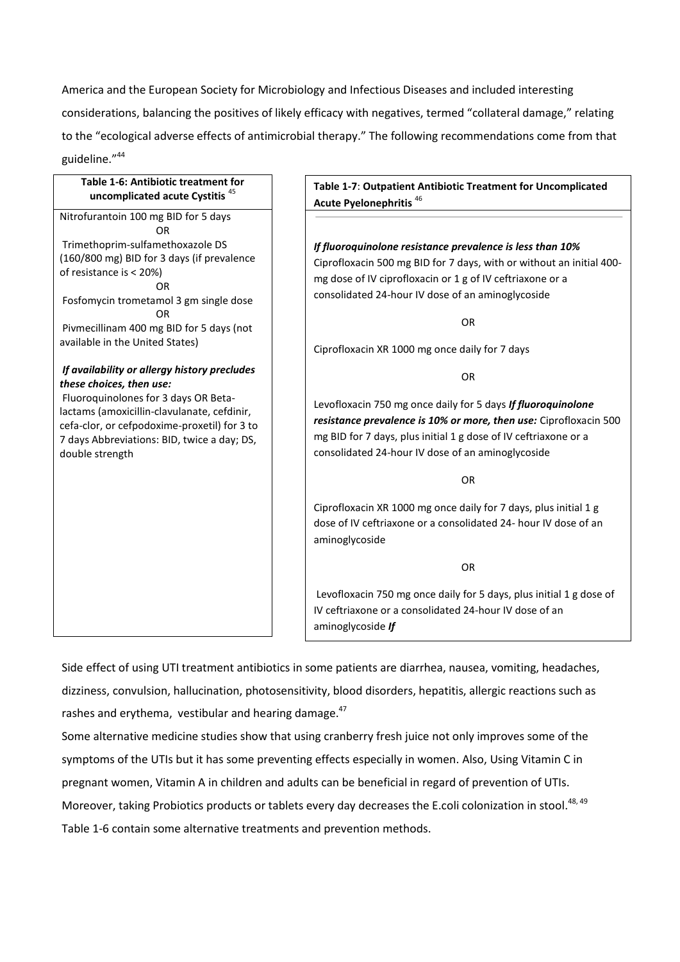America and the European Society for Microbiology and Infectious Diseases and included interesting considerations, balancing the positives of likely efficacy with negatives, termed "collateral damage," relating to the "ecological adverse effects of antimicrobial therapy." The following recommendations come from that guideline."<sup>44</sup>

## **Table 1-6: Antibiotic treatment for uncomplicated acute Cystitis** <sup>45</sup>

Nitrofurantoin 100 mg BID for 5 days OR Trimethoprim-sulfamethoxazole DS (160/800 mg) BID for 3 days (if prevalence of resistance is < 20%) OR Fosfomycin trometamol 3 gm single dose OR Pivmecillinam 400 mg BID for 5 days (not available in the United States) *If availability or allergy history precludes* 

# *these choices, then use:*

Fluoroquinolones for 3 days OR Betalactams (amoxicillin-clavulanate, cefdinir, cefa-clor, or cefpodoxime-proxetil) for 3 to 7 days Abbreviations: BID, twice a day; DS, double strength

**Table 1-7**: **Outpatient Antibiotic Treatment for Uncomplicated Acute Pyelonephritis** <sup>46</sup>

# *If fluoroquinolone resistance prevalence is less than 10%*

Ciprofloxacin 500 mg BID for 7 days, with or without an initial 400 mg dose of IV ciprofloxacin or 1 g of IV ceftriaxone or a consolidated 24-hour IV dose of an aminoglycoside

OR

Ciprofloxacin XR 1000 mg once daily for 7 days

OR

Levofloxacin 750 mg once daily for 5 days *If fluoroquinolone resistance prevalence is 10% or more, then use:* Ciprofloxacin 500 mg BID for 7 days, plus initial 1 g dose of IV ceftriaxone or a consolidated 24-hour IV dose of an aminoglycoside

OR

Ciprofloxacin XR 1000 mg once daily for 7 days, plus initial 1 g dose of IV ceftriaxone or a consolidated 24- hour IV dose of an aminoglycoside

OR

Levofloxacin 750 mg once daily for 5 days, plus initial 1 g dose of IV ceftriaxone or a consolidated 24-hour IV dose of an aminoglycoside *If* 

Side effect of using UTI treatment antibiotics in some patients are diarrhea, nausea, vomiting, headaches, dizziness, convulsion, hallucination, photosensitivity, blood disorders, hepatitis, allergic reactions such as rashes and erythema, vestibular and hearing damage.<sup>47</sup>

Some alternative medicine studies show that using cranberry fresh juice not only improves some of the symptoms of the UTIs but it has some preventing effects especially in women. Also, Using Vitamin C in pregnant women, Vitamin A in children and adults can be beneficial in regard of prevention of UTIs. Moreover, taking Probiotics products or tablets every day decreases the E.coli colonization in stool.<sup>48,49</sup> Table 1-6 contain some alternative treatments and prevention methods.  $\sigma$  and class complete doctors, cefacilities, or cefacilities or cefulance  $\sigma$ very day decreases the E.com co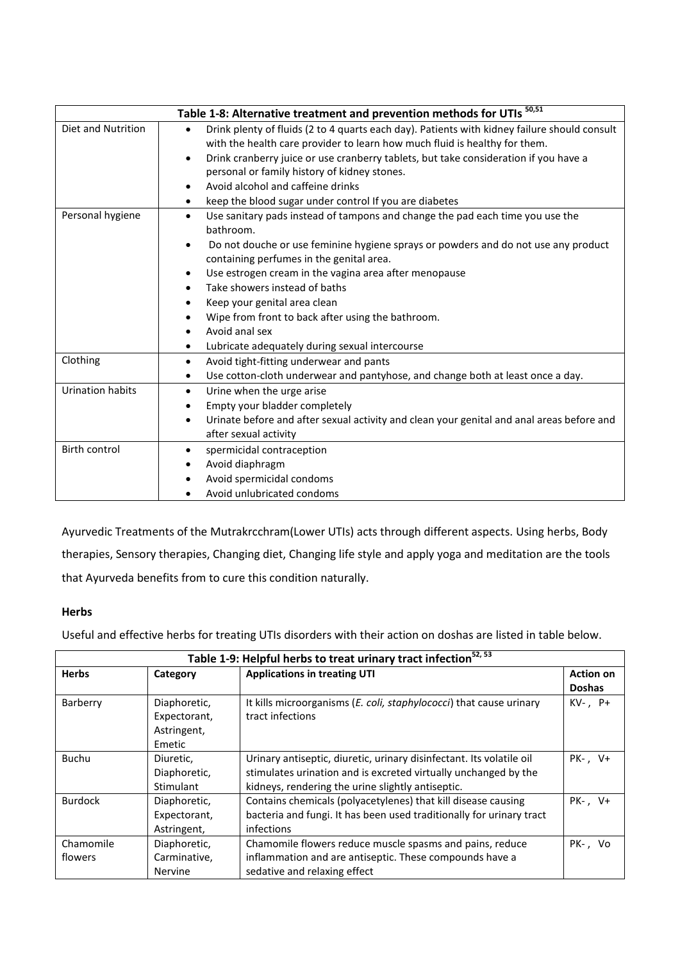|                         | Table 1-8: Alternative treatment and prevention methods for UTIs <sup>50,51</sup>                                                                                                                                                                                                            |
|-------------------------|----------------------------------------------------------------------------------------------------------------------------------------------------------------------------------------------------------------------------------------------------------------------------------------------|
| Diet and Nutrition      | Drink plenty of fluids (2 to 4 quarts each day). Patients with kidney failure should consult<br>$\bullet$<br>with the health care provider to learn how much fluid is healthy for them.<br>Drink cranberry juice or use cranberry tablets, but take consideration if you have a<br>$\bullet$ |
|                         | personal or family history of kidney stones.                                                                                                                                                                                                                                                 |
|                         | Avoid alcohol and caffeine drinks<br>$\bullet$<br>keep the blood sugar under control If you are diabetes<br>$\bullet$                                                                                                                                                                        |
| Personal hygiene        | Use sanitary pads instead of tampons and change the pad each time you use the<br>$\bullet$<br>bathroom.                                                                                                                                                                                      |
|                         | Do not douche or use feminine hygiene sprays or powders and do not use any product<br>$\bullet$<br>containing perfumes in the genital area.                                                                                                                                                  |
|                         | Use estrogen cream in the vagina area after menopause<br>٠                                                                                                                                                                                                                                   |
|                         | Take showers instead of baths<br>$\bullet$                                                                                                                                                                                                                                                   |
|                         | Keep your genital area clean<br>٠                                                                                                                                                                                                                                                            |
|                         | Wipe from front to back after using the bathroom.                                                                                                                                                                                                                                            |
|                         | Avoid anal sex<br>$\bullet$                                                                                                                                                                                                                                                                  |
|                         | Lubricate adequately during sexual intercourse<br>$\bullet$                                                                                                                                                                                                                                  |
| Clothing                | Avoid tight-fitting underwear and pants<br>$\bullet$                                                                                                                                                                                                                                         |
|                         | Use cotton-cloth underwear and pantyhose, and change both at least once a day.<br>$\bullet$                                                                                                                                                                                                  |
| <b>Urination habits</b> | Urine when the urge arise<br>$\bullet$                                                                                                                                                                                                                                                       |
|                         | Empty your bladder completely<br>$\bullet$                                                                                                                                                                                                                                                   |
|                         | Urinate before and after sexual activity and clean your genital and anal areas before and<br>$\bullet$                                                                                                                                                                                       |
|                         | after sexual activity                                                                                                                                                                                                                                                                        |
| <b>Birth control</b>    | spermicidal contraception<br>$\bullet$                                                                                                                                                                                                                                                       |
|                         | Avoid diaphragm<br>٠                                                                                                                                                                                                                                                                         |
|                         | Avoid spermicidal condoms                                                                                                                                                                                                                                                                    |
|                         | Avoid unlubricated condoms                                                                                                                                                                                                                                                                   |

Ayurvedic Treatments of the Mutrakrcchram(Lower UTIs) acts through different aspects. Using herbs, Body therapies, Sensory therapies, Changing diet, Changing life style and apply yoga and meditation are the tools that Ayurveda benefits from to cure this condition naturally.

# **Herbs**

Useful and effective herbs for treating UTIs disorders with their action on doshas are listed in table below.

| Table 1-9: Helpful herbs to treat urinary tract infection <sup>52, 53</sup> |                |                                                                      |                  |
|-----------------------------------------------------------------------------|----------------|----------------------------------------------------------------------|------------------|
| <b>Herbs</b>                                                                | Category       | <b>Applications in treating UTI</b>                                  | <b>Action on</b> |
|                                                                             |                |                                                                      | <b>Doshas</b>    |
| Barberry                                                                    | Diaphoretic,   | It kills microorganisms (E. coli, staphylococci) that cause urinary  | $KV-$ , $P+$     |
|                                                                             | Expectorant,   | tract infections                                                     |                  |
|                                                                             | Astringent,    |                                                                      |                  |
|                                                                             | Emetic         |                                                                      |                  |
| <b>Buchu</b>                                                                | Diuretic,      | Urinary antiseptic, diuretic, urinary disinfectant. Its volatile oil | PK-, V+          |
|                                                                             | Diaphoretic,   | stimulates urination and is excreted virtually unchanged by the      |                  |
|                                                                             | Stimulant      | kidneys, rendering the urine slightly antiseptic.                    |                  |
| <b>Burdock</b>                                                              | Diaphoretic,   | Contains chemicals (polyacetylenes) that kill disease causing        | PK-, V+          |
|                                                                             | Expectorant,   | bacteria and fungi. It has been used traditionally for urinary tract |                  |
|                                                                             | Astringent,    | infections                                                           |                  |
| Chamomile                                                                   | Diaphoretic,   | Chamomile flowers reduce muscle spasms and pains, reduce             | PK-, Vo          |
| flowers                                                                     | Carminative,   | inflammation and are antiseptic. These compounds have a              |                  |
|                                                                             | <b>Nervine</b> | sedative and relaxing effect                                         |                  |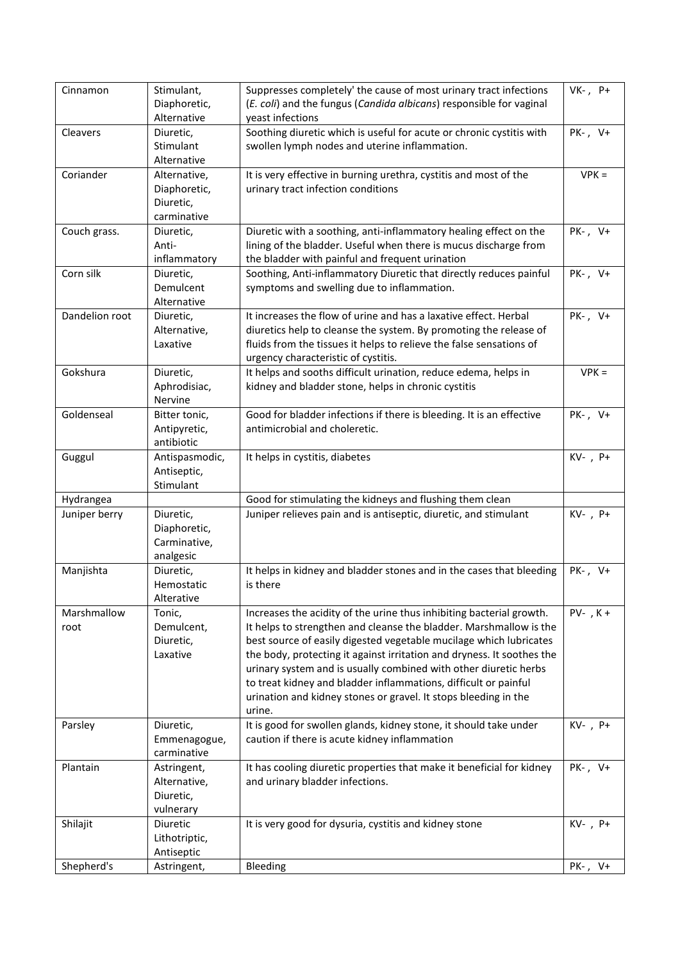| Cinnamon            | Stimulant,<br>Diaphoretic,<br>Alternative                | Suppresses completely' the cause of most urinary tract infections<br>(E. coli) and the fungus (Candida albicans) responsible for vaginal<br>yeast infections                                                                                                                                                                                                                                                                                                                                                   | $VK-$ , $P+$  |
|---------------------|----------------------------------------------------------|----------------------------------------------------------------------------------------------------------------------------------------------------------------------------------------------------------------------------------------------------------------------------------------------------------------------------------------------------------------------------------------------------------------------------------------------------------------------------------------------------------------|---------------|
| Cleavers            | Diuretic,<br>Stimulant<br>Alternative                    | Soothing diuretic which is useful for acute or chronic cystitis with<br>swollen lymph nodes and uterine inflammation.                                                                                                                                                                                                                                                                                                                                                                                          | PK-, V+       |
| Coriander           | Alternative,<br>Diaphoretic,<br>Diuretic,<br>carminative | It is very effective in burning urethra, cystitis and most of the<br>urinary tract infection conditions                                                                                                                                                                                                                                                                                                                                                                                                        | $VPK =$       |
| Couch grass.        | Diuretic,<br>Anti-<br>inflammatory                       | Diuretic with a soothing, anti-inflammatory healing effect on the<br>lining of the bladder. Useful when there is mucus discharge from<br>the bladder with painful and frequent urination                                                                                                                                                                                                                                                                                                                       | PK-, V+       |
| Corn silk           | Diuretic,<br>Demulcent<br>Alternative                    | Soothing, Anti-inflammatory Diuretic that directly reduces painful<br>symptoms and swelling due to inflammation.                                                                                                                                                                                                                                                                                                                                                                                               | PK-, V+       |
| Dandelion root      | Diuretic,<br>Alternative,<br>Laxative                    | It increases the flow of urine and has a laxative effect. Herbal<br>diuretics help to cleanse the system. By promoting the release of<br>fluids from the tissues it helps to relieve the false sensations of<br>urgency characteristic of cystitis.                                                                                                                                                                                                                                                            | PK-, V+       |
| Gokshura            | Diuretic,<br>Aphrodisiac,<br>Nervine                     | It helps and sooths difficult urination, reduce edema, helps in<br>kidney and bladder stone, helps in chronic cystitis                                                                                                                                                                                                                                                                                                                                                                                         | $VPK =$       |
| Goldenseal          | Bitter tonic,<br>Antipyretic,<br>antibiotic              | Good for bladder infections if there is bleeding. It is an effective<br>antimicrobial and choleretic.                                                                                                                                                                                                                                                                                                                                                                                                          | PK-, V+       |
| Guggul              | Antispasmodic,<br>Antiseptic,<br>Stimulant               | It helps in cystitis, diabetes                                                                                                                                                                                                                                                                                                                                                                                                                                                                                 | $KV-$ , $P+$  |
| Hydrangea           |                                                          | Good for stimulating the kidneys and flushing them clean                                                                                                                                                                                                                                                                                                                                                                                                                                                       |               |
| Juniper berry       | Diuretic,<br>Diaphoretic,<br>Carminative,<br>analgesic   | Juniper relieves pain and is antiseptic, diuretic, and stimulant                                                                                                                                                                                                                                                                                                                                                                                                                                               | $KV-$ , $P+$  |
| Manjishta           | Diuretic,<br>Hemostatic<br>Alterative                    | It helps in kidney and bladder stones and in the cases that bleeding<br>is there                                                                                                                                                                                                                                                                                                                                                                                                                               | PK-, V+       |
| Marshmallow<br>root | Tonic,<br>Demulcent,<br>Diuretic,<br>Laxative            | Increases the acidity of the urine thus inhibiting bacterial growth.<br>It helps to strengthen and cleanse the bladder. Marshmallow is the<br>best source of easily digested vegetable mucilage which lubricates<br>the body, protecting it against irritation and dryness. It soothes the<br>urinary system and is usually combined with other diuretic herbs<br>to treat kidney and bladder inflammations, difficult or painful<br>urination and kidney stones or gravel. It stops bleeding in the<br>urine. | $PV-$ , $K +$ |
| Parsley             | Diuretic,<br>Emmenagogue,<br>carminative                 | It is good for swollen glands, kidney stone, it should take under<br>caution if there is acute kidney inflammation                                                                                                                                                                                                                                                                                                                                                                                             | $KV-$ , $P+$  |
| Plantain            | Astringent,<br>Alternative,<br>Diuretic,<br>vulnerary    | It has cooling diuretic properties that make it beneficial for kidney<br>and urinary bladder infections.                                                                                                                                                                                                                                                                                                                                                                                                       | PK-, V+       |
| Shilajit            | Diuretic<br>Lithotriptic,<br>Antiseptic                  | It is very good for dysuria, cystitis and kidney stone                                                                                                                                                                                                                                                                                                                                                                                                                                                         | $KV-$ , $P+$  |
| Shepherd's          | Astringent,                                              | Bleeding                                                                                                                                                                                                                                                                                                                                                                                                                                                                                                       | PK-, V+       |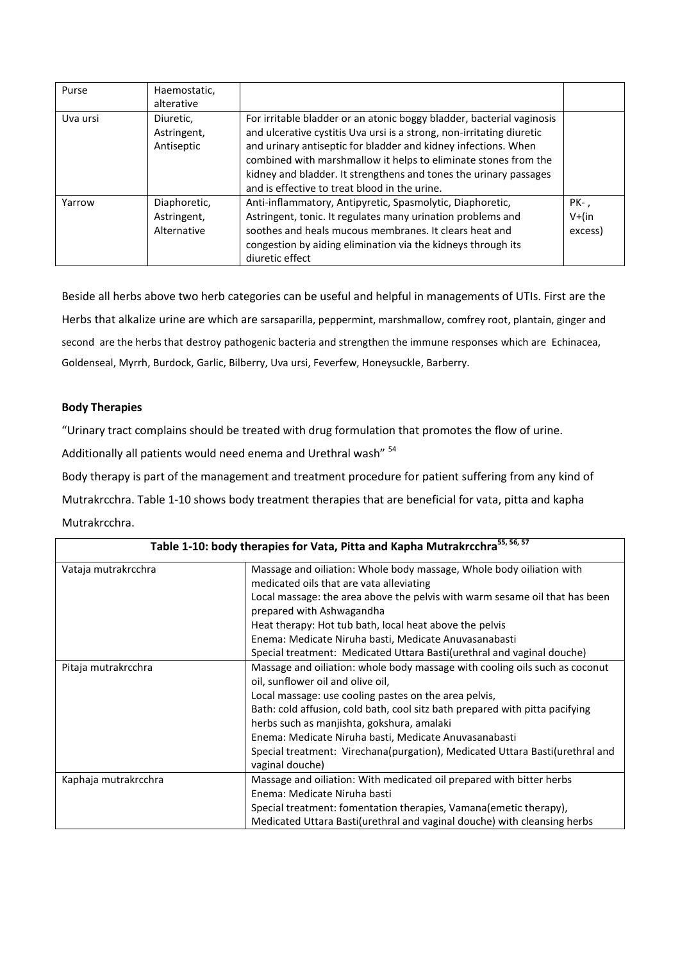| Purse    | Haemostatic,<br>alterative                 |                                                                                                                                                                                                                                                                                                                                                                                                           |                             |
|----------|--------------------------------------------|-----------------------------------------------------------------------------------------------------------------------------------------------------------------------------------------------------------------------------------------------------------------------------------------------------------------------------------------------------------------------------------------------------------|-----------------------------|
| Uva ursi | Diuretic,<br>Astringent,<br>Antiseptic     | For irritable bladder or an atonic boggy bladder, bacterial vaginosis<br>and ulcerative cystitis Uva ursi is a strong, non-irritating diuretic<br>and urinary antiseptic for bladder and kidney infections. When<br>combined with marshmallow it helps to eliminate stones from the<br>kidney and bladder. It strengthens and tones the urinary passages<br>and is effective to treat blood in the urine. |                             |
| Yarrow   | Diaphoretic,<br>Astringent,<br>Alternative | Anti-inflammatory, Antipyretic, Spasmolytic, Diaphoretic,<br>Astringent, tonic. It regulates many urination problems and<br>soothes and heals mucous membranes. It clears heat and<br>congestion by aiding elimination via the kidneys through its<br>diuretic effect                                                                                                                                     | PK-,<br>$V+$ (in<br>excess) |

Beside all herbs above two herb categories can be useful and helpful in managements of UTIs. First are the Herbs that alkalize urine are which are sarsaparilla, peppermint, marshmallow, comfrey root, plantain, ginger and second are the herbs that destroy pathogenic bacteria and strengthen the immune responses which are Echinacea, Goldenseal, Myrrh, Burdock, Garlic, Bilberry, Uva ursi, Feverfew, Honeysuckle, Barberry.

## **Body Therapies**

"Urinary tract complains should be treated with drug formulation that promotes the flow of urine.

Additionally all patients would need enema and Urethral wash"  $54$ 

Body therapy is part of the management and treatment procedure for patient suffering from any kind of

Mutrakrcchra. Table 1-10 shows body treatment therapies that are beneficial for vata, pitta and kapha Mutrakrcchra.

|                      | Table 1-10: body therapies for Vata, Pitta and Kapha Mutrakrcchra <sup>55, 56, 57</sup> |  |  |
|----------------------|-----------------------------------------------------------------------------------------|--|--|
| Vataja mutrakrcchra  | Massage and oiliation: Whole body massage, Whole body oiliation with                    |  |  |
|                      | medicated oils that are vata alleviating                                                |  |  |
|                      | Local massage: the area above the pelvis with warm sesame oil that has been             |  |  |
|                      | prepared with Ashwagandha                                                               |  |  |
|                      | Heat therapy: Hot tub bath, local heat above the pelvis                                 |  |  |
|                      | Enema: Medicate Niruha basti, Medicate Anuvasanabasti                                   |  |  |
|                      | Special treatment: Medicated Uttara Basti(urethral and vaginal douche)                  |  |  |
| Pitaja mutrakrcchra  | Massage and oiliation: whole body massage with cooling oils such as coconut             |  |  |
|                      | oil, sunflower oil and olive oil,                                                       |  |  |
|                      | Local massage: use cooling pastes on the area pelvis,                                   |  |  |
|                      | Bath: cold affusion, cold bath, cool sitz bath prepared with pitta pacifying            |  |  |
|                      | herbs such as manjishta, gokshura, amalaki                                              |  |  |
|                      | Enema: Medicate Niruha basti, Medicate Anuvasanabasti                                   |  |  |
|                      | Special treatment: Virechana(purgation), Medicated Uttara Basti(urethral and            |  |  |
|                      | vaginal douche)                                                                         |  |  |
| Kaphaja mutrakrcchra | Massage and oiliation: With medicated oil prepared with bitter herbs                    |  |  |
|                      | Enema: Medicate Niruha basti                                                            |  |  |
|                      | Special treatment: fomentation therapies, Vamana (emetic therapy),                      |  |  |
|                      | Medicated Uttara Basti(urethral and vaginal douche) with cleansing herbs                |  |  |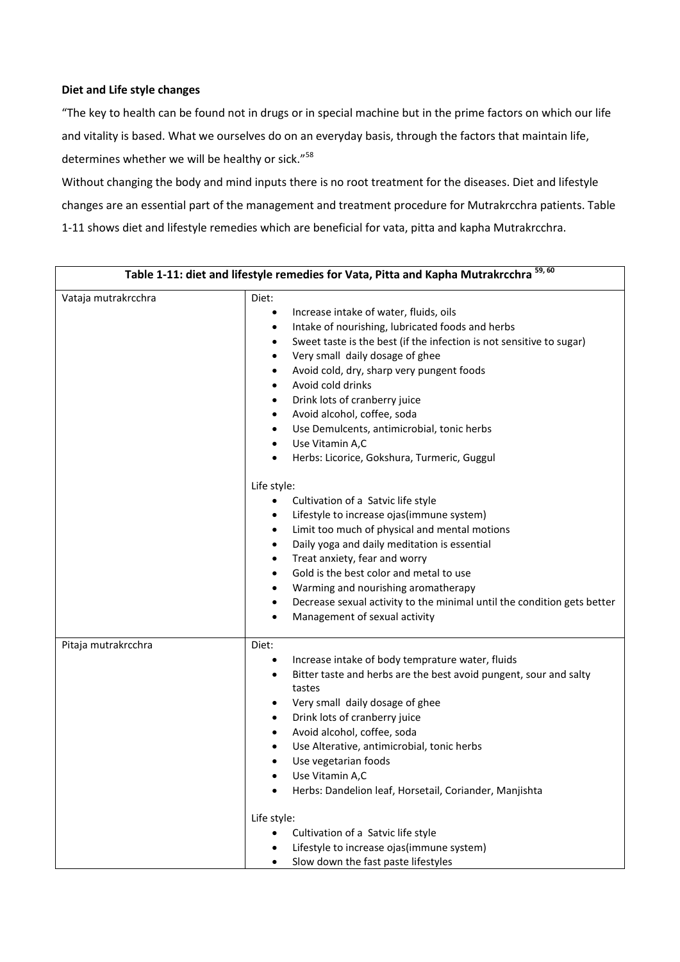## **Diet and Life style changes**

"The key to health can be found not in drugs or in special machine but in the prime factors on which our life and vitality is based. What we ourselves do on an everyday basis, through the factors that maintain life, determines whether we will be healthy or sick."<sup>58</sup>

Without changing the body and mind inputs there is no root treatment for the diseases. Diet and lifestyle changes are an essential part of the management and treatment procedure for Mutrakrcchra patients. Table 1-11 shows diet and lifestyle remedies which are beneficial for vata, pitta and kapha Mutrakrcchra.

| Table 1-11: diet and lifestyle remedies for Vata, Pitta and Kapha Mutrakrcchra $59,60$ |                                                                                                                                                                                                                                                                                                                                                                                                                                                                                                                                                                                                                                                                                                                                                                                                                                                                                                                                                                               |  |
|----------------------------------------------------------------------------------------|-------------------------------------------------------------------------------------------------------------------------------------------------------------------------------------------------------------------------------------------------------------------------------------------------------------------------------------------------------------------------------------------------------------------------------------------------------------------------------------------------------------------------------------------------------------------------------------------------------------------------------------------------------------------------------------------------------------------------------------------------------------------------------------------------------------------------------------------------------------------------------------------------------------------------------------------------------------------------------|--|
| Vataja mutrakrcchra                                                                    | Diet:<br>Increase intake of water, fluids, oils<br>$\bullet$<br>Intake of nourishing, lubricated foods and herbs<br>Sweet taste is the best (if the infection is not sensitive to sugar)<br>٠<br>Very small daily dosage of ghee<br>Avoid cold, dry, sharp very pungent foods<br>Avoid cold drinks<br>Drink lots of cranberry juice<br>Avoid alcohol, coffee, soda<br>Use Demulcents, antimicrobial, tonic herbs<br>$\bullet$<br>Use Vitamin A,C<br>Herbs: Licorice, Gokshura, Turmeric, Guggul<br>$\bullet$<br>Life style:<br>Cultivation of a Satvic life style<br>Lifestyle to increase ojas(immune system)<br>٠<br>Limit too much of physical and mental motions<br>Daily yoga and daily meditation is essential<br>$\bullet$<br>Treat anxiety, fear and worry<br>Gold is the best color and metal to use<br>$\bullet$<br>Warming and nourishing aromatherapy<br>Decrease sexual activity to the minimal until the condition gets better<br>Management of sexual activity |  |
| Pitaja mutrakrcchra                                                                    | Diet:<br>Increase intake of body temprature water, fluids<br>Bitter taste and herbs are the best avoid pungent, sour and salty<br>tastes<br>Very small daily dosage of ghee<br>Drink lots of cranberry juice<br>Avoid alcohol, coffee, soda<br>Use Alterative, antimicrobial, tonic herbs<br>Use vegetarian foods<br>Use Vitamin A,C<br>Herbs: Dandelion leaf, Horsetail, Coriander, Manjishta<br>Life style:<br>Cultivation of a Satvic life style<br>Lifestyle to increase ojas(immune system)<br>Slow down the fast paste lifestyles                                                                                                                                                                                                                                                                                                                                                                                                                                       |  |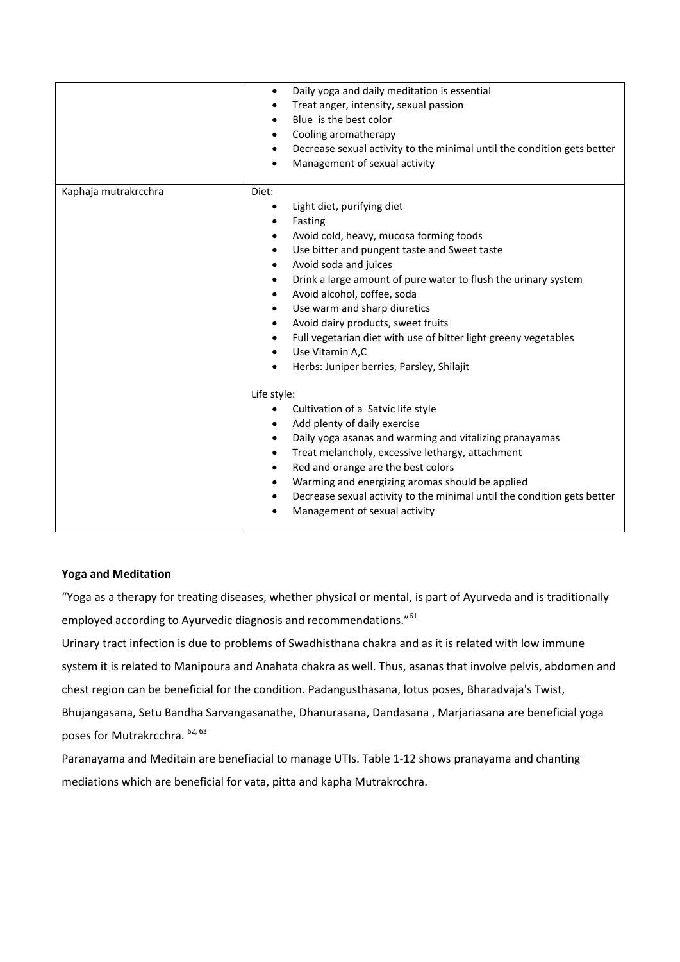|                      | Daily yoga and daily meditation is essential<br>$\bullet$               |
|----------------------|-------------------------------------------------------------------------|
|                      |                                                                         |
|                      | Treat anger, intensity, sexual passion<br>Blue is the best color        |
|                      |                                                                         |
|                      | Cooling aromatherapy                                                    |
|                      | Decrease sexual activity to the minimal until the condition gets better |
|                      | Management of sexual activity                                           |
| Kaphaja mutrakrcchra | Diet:                                                                   |
|                      | Light diet, purifying diet                                              |
|                      | Fasting                                                                 |
|                      | Avoid cold, heavy, mucosa forming foods                                 |
|                      | Use bitter and pungent taste and Sweet taste                            |
|                      | Avoid soda and juices<br>$\bullet$                                      |
|                      | Drink a large amount of pure water to flush the urinary system          |
|                      | Avoid alcohol, coffee, soda                                             |
|                      | Use warm and sharp diuretics                                            |
|                      | Avoid dairy products, sweet fruits                                      |
|                      | Full vegetarian diet with use of bitter light greeny vegetables         |
|                      | Use Vitamin A,C                                                         |
|                      | Herbs: Juniper berries, Parsley, Shilajit                               |
|                      |                                                                         |
|                      | Life style:                                                             |
|                      | Cultivation of a Satvic life style<br>$\bullet$                         |
|                      | Add plenty of daily exercise                                            |
|                      | Daily yoga asanas and warming and vitalizing pranayamas                 |
|                      | Treat melancholy, excessive lethargy, attachment                        |
|                      | Red and orange are the best colors                                      |
|                      | Warming and energizing aromas should be applied                         |
|                      | Decrease sexual activity to the minimal until the condition gets better |
|                      | Management of sexual activity                                           |
|                      |                                                                         |

# **Yoga and Meditation**

"Yoga as a therapy for treating diseases, whether physical or mental, is part of Ayurveda and is traditionally employed according to Ayurvedic diagnosis and recommendations."<sup>61</sup>

Urinary tract infection is due to problems of Swadhisthana chakra and as it is related with low immune

system it is related to Manipoura and Anahata chakra as well. Thus, asanas that involve pelvis, abdomen and

chest region can be beneficial for the condition. Padangusthasana, lotus poses, Bharadvaja's Twist,

Bhujangasana, Setu Bandha Sarvangasanathe, Dhanurasana, Dandasana , Marjariasana are beneficial yoga poses for Mutrakrcchra. <sup>62, 63</sup>

Paranayama and Meditain are benefiacial to manage UTIs. Table 1-12 shows pranayama and chanting mediations which are beneficial for vata, pitta and kapha Mutrakrcchra.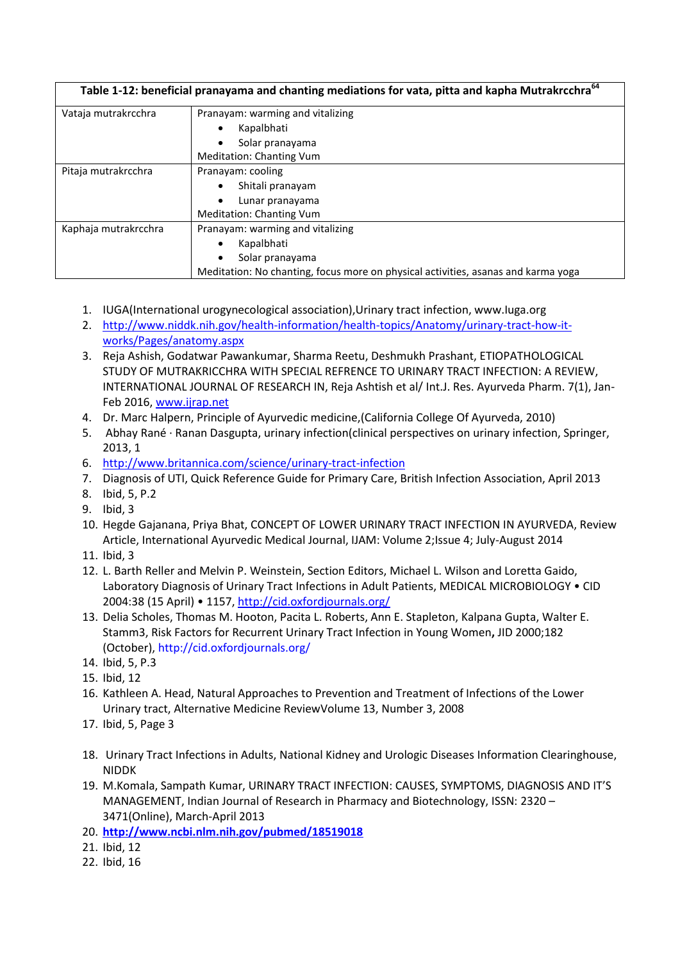| Table 1-12: beneficial pranayama and chanting mediations for vata, pitta and kapha Mutrakrcchra <sup>64</sup> |                                                                                   |
|---------------------------------------------------------------------------------------------------------------|-----------------------------------------------------------------------------------|
| Vataja mutrakrcchra                                                                                           | Pranayam: warming and vitalizing                                                  |
|                                                                                                               | Kapalbhati<br>٠                                                                   |
|                                                                                                               | Solar pranayama                                                                   |
|                                                                                                               | <b>Meditation: Chanting Vum</b>                                                   |
| Pitaja mutrakrcchra                                                                                           | Pranayam: cooling                                                                 |
|                                                                                                               | Shitali pranayam<br>٠                                                             |
|                                                                                                               | Lunar pranayama<br>٠                                                              |
|                                                                                                               | <b>Meditation: Chanting Vum</b>                                                   |
| Kaphaja mutrakrcchra                                                                                          | Pranayam: warming and vitalizing                                                  |
|                                                                                                               | Kapalbhati<br>٠                                                                   |
|                                                                                                               | Solar pranayama                                                                   |
|                                                                                                               | Meditation: No chanting, focus more on physical activities, asanas and karma yoga |

- 1. IUGA(International urogynecological association),Urinary tract infection, www.Iuga.org
- 2. [http://www.niddk.nih.gov/health-information/health-topics/Anatomy/urinary-tract-how-it](http://www.niddk.nih.gov/health-information/health-topics/Anatomy/urinary-tract-how-it-works/Pages/anatomy.aspx)[works/Pages/anatomy.aspx](http://www.niddk.nih.gov/health-information/health-topics/Anatomy/urinary-tract-how-it-works/Pages/anatomy.aspx)
- 3. Reja Ashish, Godatwar Pawankumar, Sharma Reetu, Deshmukh Prashant, ETIOPATHOLOGICAL STUDY OF MUTRAKRICCHRA WITH SPECIAL REFRENCE TO URINARY TRACT INFECTION: A REVIEW, INTERNATIONAL JOURNAL OF RESEARCH IN, Reja Ashtish et al/ Int.J. Res. Ayurveda Pharm. 7(1), Jan-Feb 2016, [www.ijrap.net](http://www.ijrap.net/)
- 4. Dr. Marc Halpern, Principle of Ayurvedic medicine,(California College Of Ayurveda, 2010)
- 5. Abhay Rané · Ranan Dasgupta, urinary infection(clinical perspectives on urinary infection, Springer, 2013, 1
- 6. <http://www.britannica.com/science/urinary-tract-infection>
- 7. Diagnosis of UTI, Quick Reference Guide for Primary Care, British Infection Association, April 2013
- 8. Ibid, 5, P.2
- 9. Ibid, 3
- 10. Hegde Gajanana, Priya Bhat, CONCEPT OF LOWER URINARY TRACT INFECTION IN AYURVEDA, Review Article, International Ayurvedic Medical Journal, IJAM: Volume 2;Issue 4; July-August 2014
- 11. Ibid, 3
- 12. L. Barth Reller and Melvin P. Weinstein, Section Editors, Michael L. Wilson and Loretta Gaido, Laboratory Diagnosis of Urinary Tract Infections in Adult Patients, MEDICAL MICROBIOLOGY • CID 2004:38 (15 April) • 1157,<http://cid.oxfordjournals.org/>
- 13. Delia Scholes, Thomas M. Hooton, Pacita L. Roberts, Ann E. Stapleton, Kalpana Gupta, Walter E. Stamm3, Risk Factors for Recurrent Urinary Tract Infection in Young Women**,** JID 2000;182 (October), http://cid.oxfordjournals.org/
- 14. Ibid, 5, P.3
- 15. Ibid, 12
- 16. Kathleen A. Head, Natural Approaches to Prevention and Treatment of Infections of the Lower Urinary tract, Alternative Medicine ReviewVolume 13, Number 3, 2008
- 17. Ibid, 5, Page 3
- 18. Urinary Tract Infections in Adults, National Kidney and Urologic Diseases Information Clearinghouse, NIDDK
- 19. M.Komala, Sampath Kumar, URINARY TRACT INFECTION: CAUSES, SYMPTOMS, DIAGNOSIS AND IT'S MANAGEMENT, Indian Journal of Research in Pharmacy and Biotechnology, ISSN: 2320 – 3471(Online), March-April 2013
- 20. **<http://www.ncbi.nlm.nih.gov/pubmed/18519018>**
- 21. Ibid, 12
- 22. Ibid, 16